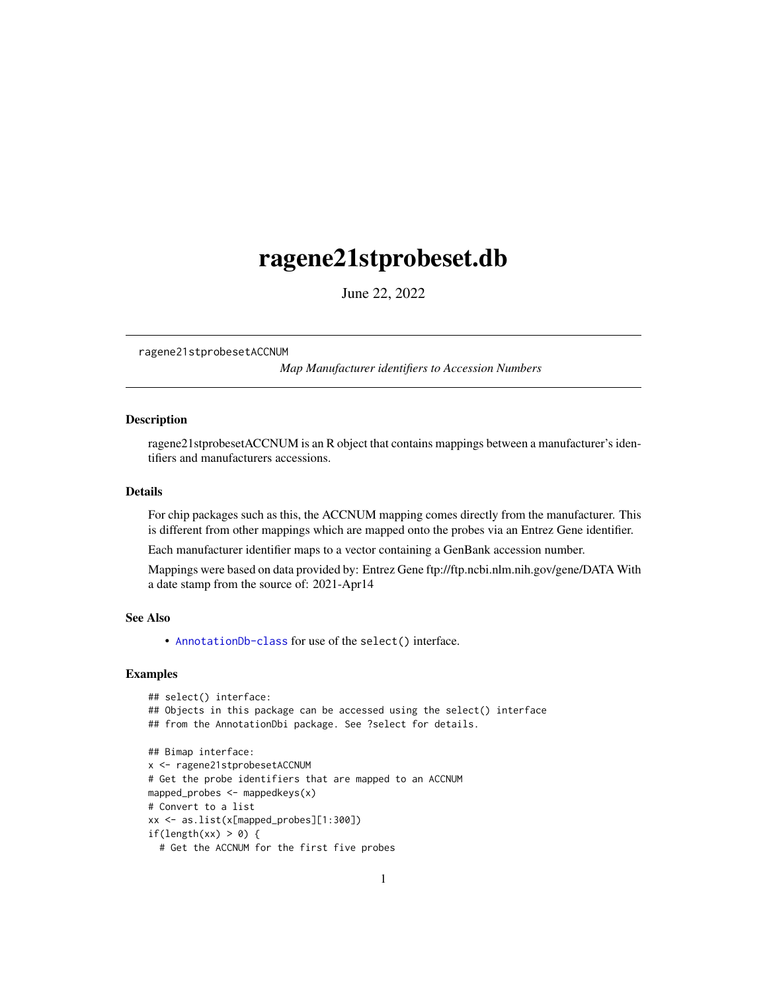## <span id="page-0-1"></span><span id="page-0-0"></span>ragene21stprobeset.db

June 22, 2022

ragene21stprobesetACCNUM

*Map Manufacturer identifiers to Accession Numbers*

## Description

ragene21stprobesetACCNUM is an R object that contains mappings between a manufacturer's identifiers and manufacturers accessions.

#### Details

For chip packages such as this, the ACCNUM mapping comes directly from the manufacturer. This is different from other mappings which are mapped onto the probes via an Entrez Gene identifier.

Each manufacturer identifier maps to a vector containing a GenBank accession number.

Mappings were based on data provided by: Entrez Gene ftp://ftp.ncbi.nlm.nih.gov/gene/DATA With a date stamp from the source of: 2021-Apr14

## See Also

• AnnotationDb-class for use of the select() interface.

```
## select() interface:
## Objects in this package can be accessed using the select() interface
## from the AnnotationDbi package. See ?select for details.
## Bimap interface:
x <- ragene21stprobesetACCNUM
# Get the probe identifiers that are mapped to an ACCNUM
mapped_probes <- mappedkeys(x)
# Convert to a list
xx <- as.list(x[mapped_probes][1:300])
if(length(xx) > 0) {
  # Get the ACCNUM for the first five probes
```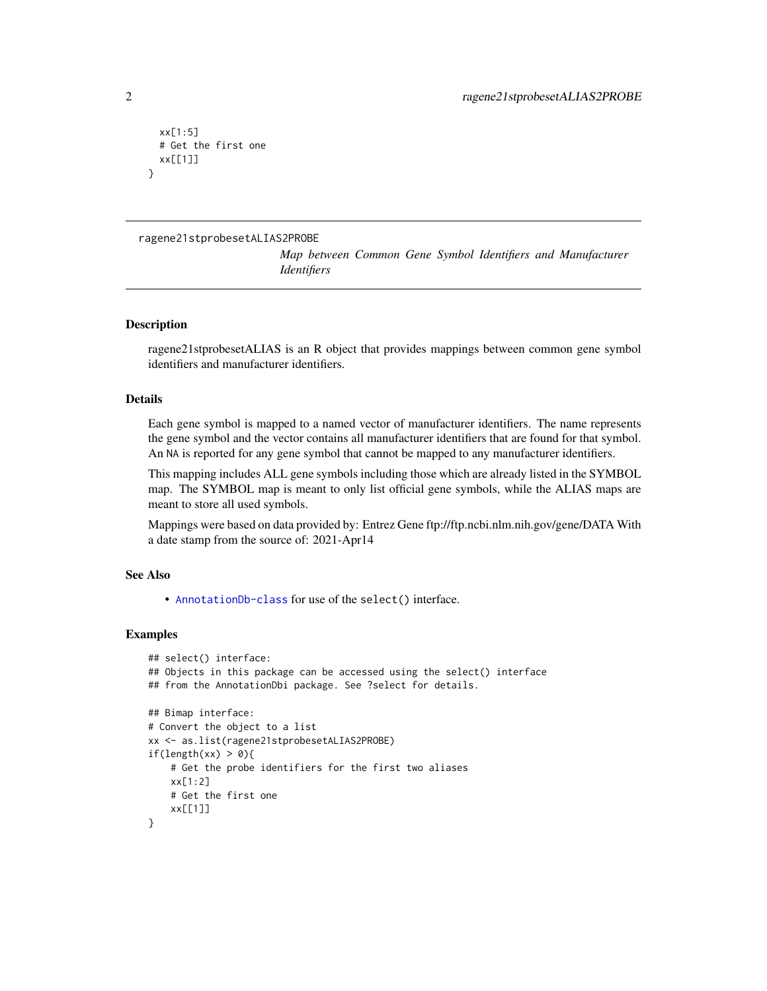```
xx[1:5]
 # Get the first one
 xx[[1]]
}
```
ragene21stprobesetALIAS2PROBE

*Map between Common Gene Symbol Identifiers and Manufacturer Identifiers*

## **Description**

ragene21stprobesetALIAS is an R object that provides mappings between common gene symbol identifiers and manufacturer identifiers.

## Details

Each gene symbol is mapped to a named vector of manufacturer identifiers. The name represents the gene symbol and the vector contains all manufacturer identifiers that are found for that symbol. An NA is reported for any gene symbol that cannot be mapped to any manufacturer identifiers.

This mapping includes ALL gene symbols including those which are already listed in the SYMBOL map. The SYMBOL map is meant to only list official gene symbols, while the ALIAS maps are meant to store all used symbols.

Mappings were based on data provided by: Entrez Gene ftp://ftp.ncbi.nlm.nih.gov/gene/DATA With a date stamp from the source of: 2021-Apr14

#### See Also

• [AnnotationDb-class](#page-0-0) for use of the select() interface.

```
## select() interface:
## Objects in this package can be accessed using the select() interface
## from the AnnotationDbi package. See ?select for details.
## Bimap interface:
# Convert the object to a list
xx <- as.list(ragene21stprobesetALIAS2PROBE)
if(length(xx) > 0){
    # Get the probe identifiers for the first two aliases
   xx[1:2]
   # Get the first one
    xx[[1]]
}
```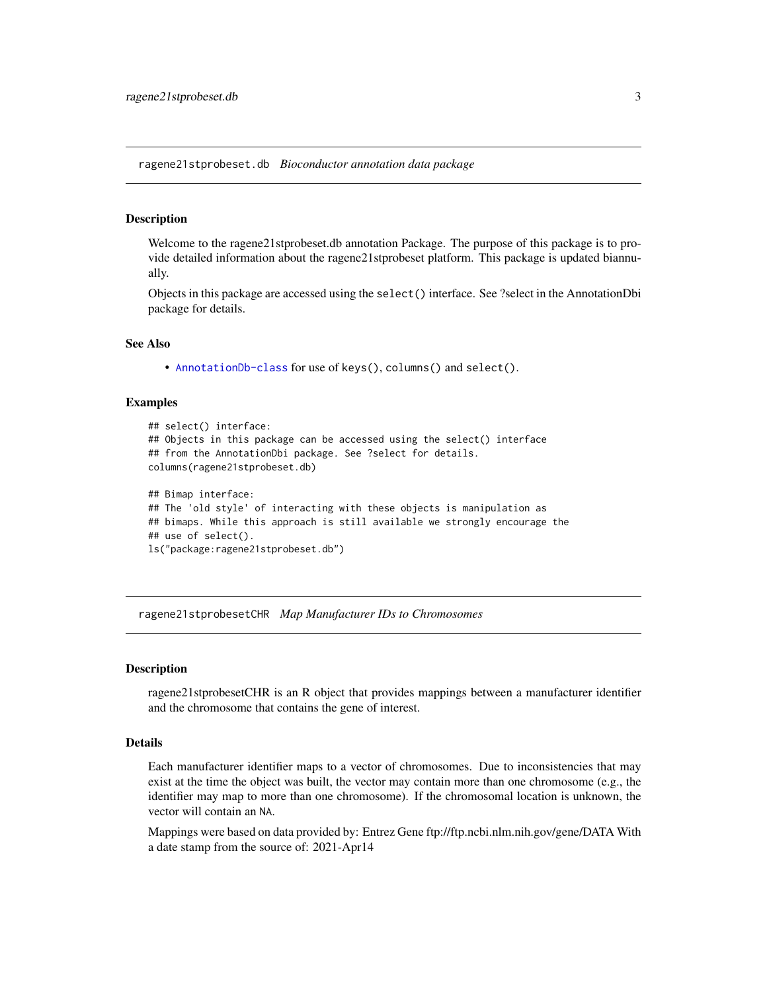<span id="page-2-0"></span>ragene21stprobeset.db *Bioconductor annotation data package*

## **Description**

Welcome to the ragene21stprobeset.db annotation Package. The purpose of this package is to provide detailed information about the ragene21stprobeset platform. This package is updated biannually.

Objects in this package are accessed using the select() interface. See ?select in the AnnotationDbi package for details.

## See Also

• [AnnotationDb-class](#page-0-0) for use of keys(), columns() and select().

#### Examples

```
## select() interface:
## Objects in this package can be accessed using the select() interface
## from the AnnotationDbi package. See ?select for details.
columns(ragene21stprobeset.db)
## Bimap interface:
## The 'old style' of interacting with these objects is manipulation as
## bimaps. While this approach is still available we strongly encourage the
## use of select().
```

```
ls("package:ragene21stprobeset.db")
```
ragene21stprobesetCHR *Map Manufacturer IDs to Chromosomes*

## **Description**

ragene21stprobesetCHR is an R object that provides mappings between a manufacturer identifier and the chromosome that contains the gene of interest.

#### Details

Each manufacturer identifier maps to a vector of chromosomes. Due to inconsistencies that may exist at the time the object was built, the vector may contain more than one chromosome (e.g., the identifier may map to more than one chromosome). If the chromosomal location is unknown, the vector will contain an NA.

Mappings were based on data provided by: Entrez Gene ftp://ftp.ncbi.nlm.nih.gov/gene/DATA With a date stamp from the source of: 2021-Apr14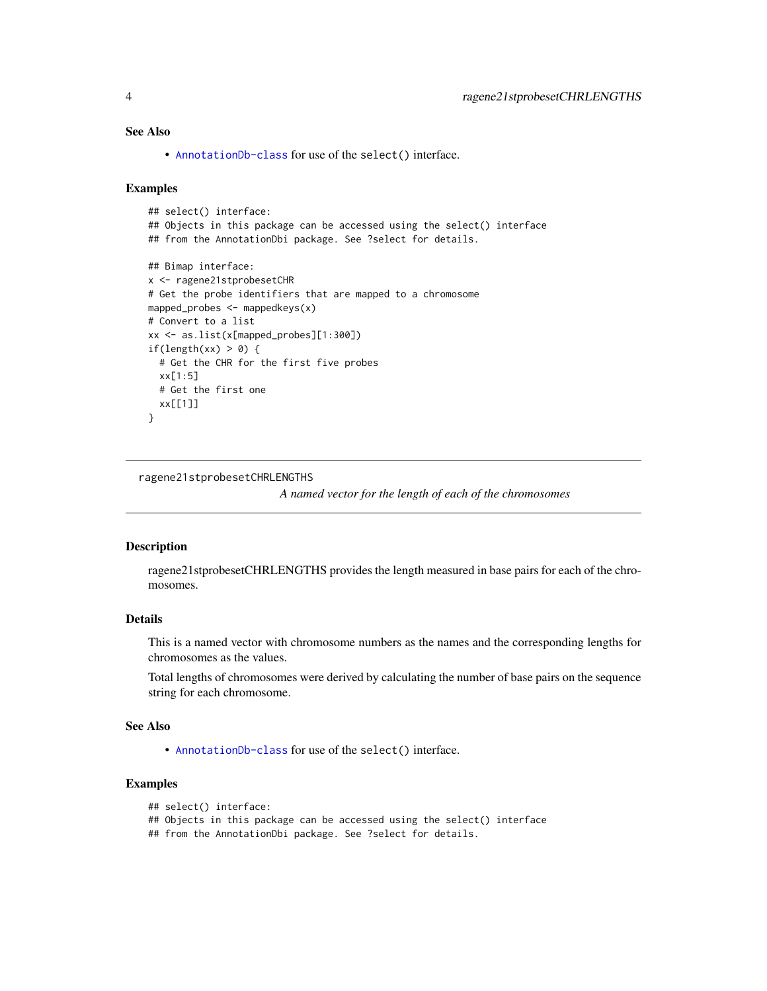## <span id="page-3-0"></span>See Also

• [AnnotationDb-class](#page-0-0) for use of the select() interface.

#### Examples

```
## select() interface:
## Objects in this package can be accessed using the select() interface
## from the AnnotationDbi package. See ?select for details.
## Bimap interface:
x <- ragene21stprobesetCHR
# Get the probe identifiers that are mapped to a chromosome
mapped_probes <- mappedkeys(x)
# Convert to a list
xx <- as.list(x[mapped_probes][1:300])
if(length(xx) > 0) {
  # Get the CHR for the first five probes
  xx[1:5]
  # Get the first one
  xx[[1]]
}
```
ragene21stprobesetCHRLENGTHS

*A named vector for the length of each of the chromosomes*

#### Description

ragene21stprobesetCHRLENGTHS provides the length measured in base pairs for each of the chromosomes.

## Details

This is a named vector with chromosome numbers as the names and the corresponding lengths for chromosomes as the values.

Total lengths of chromosomes were derived by calculating the number of base pairs on the sequence string for each chromosome.

#### See Also

• [AnnotationDb-class](#page-0-0) for use of the select() interface.

```
## select() interface:
```

```
## Objects in this package can be accessed using the select() interface
```

```
## from the AnnotationDbi package. See ?select for details.
```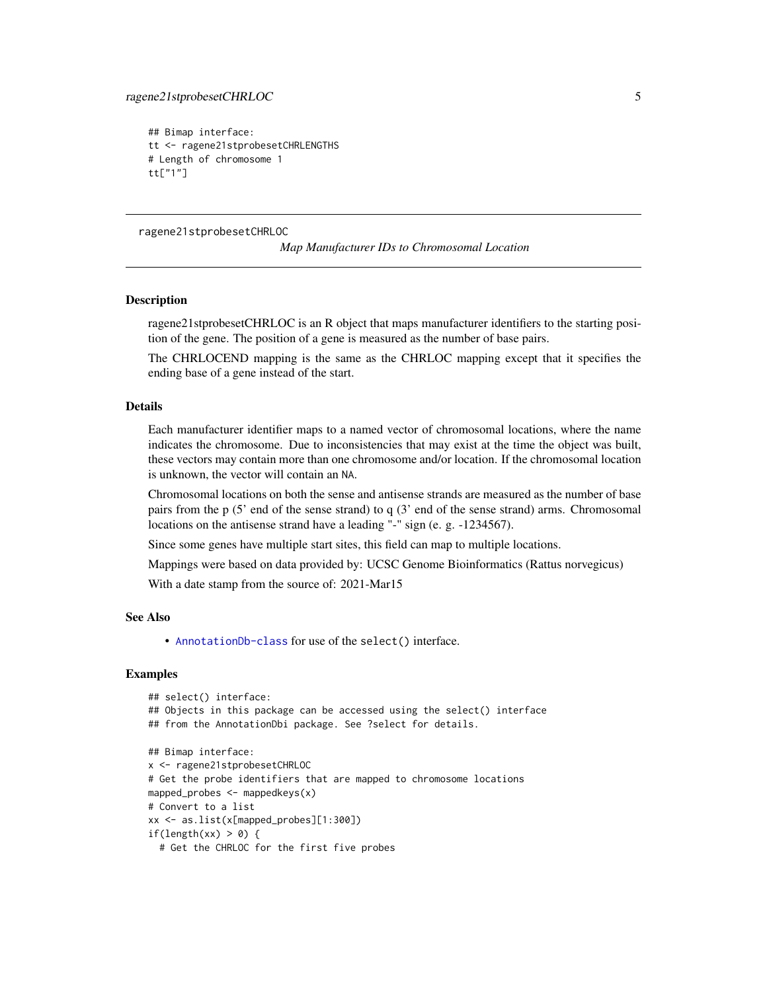```
## Bimap interface:
tt <- ragene21stprobesetCHRLENGTHS
# Length of chromosome 1
tt["1"]
```
ragene21stprobesetCHRLOC

*Map Manufacturer IDs to Chromosomal Location*

#### **Description**

ragene21stprobesetCHRLOC is an R object that maps manufacturer identifiers to the starting position of the gene. The position of a gene is measured as the number of base pairs.

The CHRLOCEND mapping is the same as the CHRLOC mapping except that it specifies the ending base of a gene instead of the start.

## Details

Each manufacturer identifier maps to a named vector of chromosomal locations, where the name indicates the chromosome. Due to inconsistencies that may exist at the time the object was built, these vectors may contain more than one chromosome and/or location. If the chromosomal location is unknown, the vector will contain an NA.

Chromosomal locations on both the sense and antisense strands are measured as the number of base pairs from the p (5' end of the sense strand) to q (3' end of the sense strand) arms. Chromosomal locations on the antisense strand have a leading "-" sign (e. g. -1234567).

Since some genes have multiple start sites, this field can map to multiple locations.

Mappings were based on data provided by: UCSC Genome Bioinformatics (Rattus norvegicus)

With a date stamp from the source of: 2021-Mar15

#### See Also

• [AnnotationDb-class](#page-0-0) for use of the select() interface.

```
## select() interface:
## Objects in this package can be accessed using the select() interface
## from the AnnotationDbi package. See ?select for details.
## Bimap interface:
x <- ragene21stprobesetCHRLOC
# Get the probe identifiers that are mapped to chromosome locations
mapped_probes <- mappedkeys(x)
# Convert to a list
xx <- as.list(x[mapped_probes][1:300])
if(length(xx) > 0) {
 # Get the CHRLOC for the first five probes
```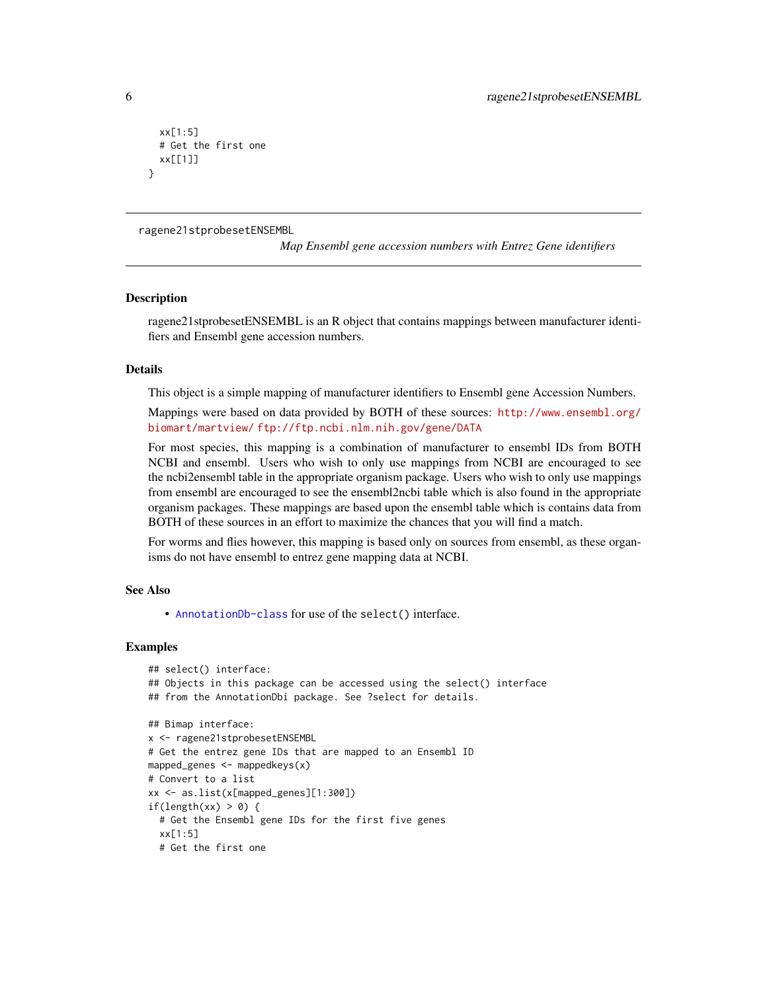```
xx[1:5]
 # Get the first one
 xx[[1]]
}
```
ragene21stprobesetENSEMBL

*Map Ensembl gene accession numbers with Entrez Gene identifiers*

#### **Description**

ragene21stprobesetENSEMBL is an R object that contains mappings between manufacturer identifiers and Ensembl gene accession numbers.

#### Details

This object is a simple mapping of manufacturer identifiers to Ensembl gene Accession Numbers.

Mappings were based on data provided by BOTH of these sources: [http://www.ensembl.org/](http://www.ensembl.org/biomart/martview/) [biomart/martview/](http://www.ensembl.org/biomart/martview/) <ftp://ftp.ncbi.nlm.nih.gov/gene/DATA>

For most species, this mapping is a combination of manufacturer to ensembl IDs from BOTH NCBI and ensembl. Users who wish to only use mappings from NCBI are encouraged to see the ncbi2ensembl table in the appropriate organism package. Users who wish to only use mappings from ensembl are encouraged to see the ensembl2ncbi table which is also found in the appropriate organism packages. These mappings are based upon the ensembl table which is contains data from BOTH of these sources in an effort to maximize the chances that you will find a match.

For worms and flies however, this mapping is based only on sources from ensembl, as these organisms do not have ensembl to entrez gene mapping data at NCBI.

#### See Also

• [AnnotationDb-class](#page-0-0) for use of the select() interface.

```
## select() interface:
## Objects in this package can be accessed using the select() interface
## from the AnnotationDbi package. See ?select for details.
## Bimap interface:
x <- ragene21stprobesetENSEMBL
# Get the entrez gene IDs that are mapped to an Ensembl ID
mapped_genes <- mappedkeys(x)
# Convert to a list
xx <- as.list(x[mapped_genes][1:300])
if(length(xx) > 0) {
 # Get the Ensembl gene IDs for the first five genes
 xx[1:5]
 # Get the first one
```
<span id="page-5-0"></span>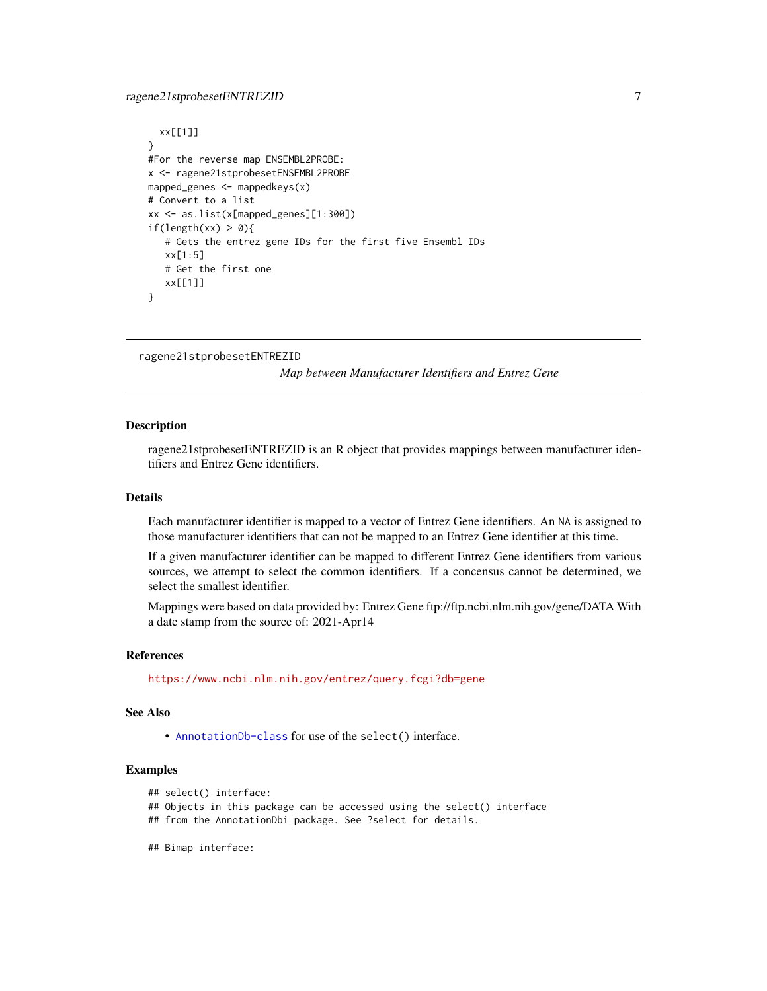### <span id="page-6-0"></span>ragene21stprobesetENTREZID 7

```
xx[[1]]
}
#For the reverse map ENSEMBL2PROBE:
x <- ragene21stprobesetENSEMBL2PROBE
mapped_genes <- mappedkeys(x)
# Convert to a list
xx <- as.list(x[mapped_genes][1:300])
if(length(xx) > 0){
   # Gets the entrez gene IDs for the first five Ensembl IDs
   xx[1:5]
   # Get the first one
   xx[[1]]
}
```

```
ragene21stprobesetENTREZID
```
*Map between Manufacturer Identifiers and Entrez Gene*

#### Description

ragene21stprobesetENTREZID is an R object that provides mappings between manufacturer identifiers and Entrez Gene identifiers.

## Details

Each manufacturer identifier is mapped to a vector of Entrez Gene identifiers. An NA is assigned to those manufacturer identifiers that can not be mapped to an Entrez Gene identifier at this time.

If a given manufacturer identifier can be mapped to different Entrez Gene identifiers from various sources, we attempt to select the common identifiers. If a concensus cannot be determined, we select the smallest identifier.

Mappings were based on data provided by: Entrez Gene ftp://ftp.ncbi.nlm.nih.gov/gene/DATA With a date stamp from the source of: 2021-Apr14

#### References

<https://www.ncbi.nlm.nih.gov/entrez/query.fcgi?db=gene>

#### See Also

• [AnnotationDb-class](#page-0-0) for use of the select() interface.

## Examples

```
## select() interface:
```
## Objects in this package can be accessed using the select() interface

- ## from the AnnotationDbi package. See ?select for details.
- ## Bimap interface: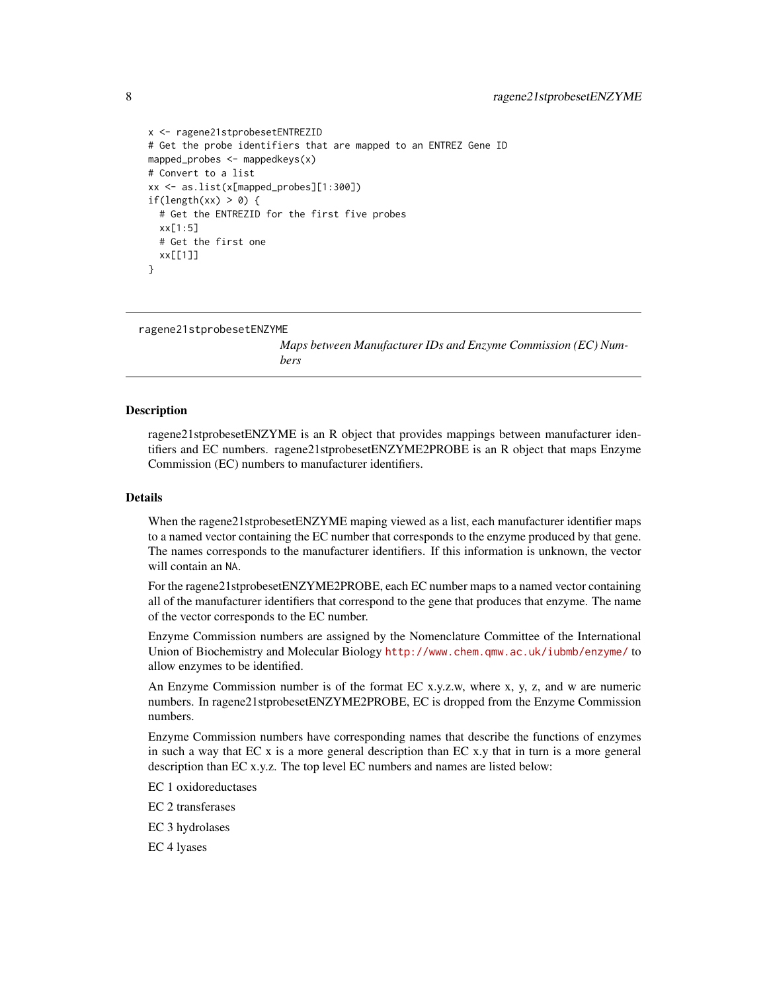```
x <- ragene21stprobesetENTREZID
# Get the probe identifiers that are mapped to an ENTREZ Gene ID
mapped_probes <- mappedkeys(x)
# Convert to a list
xx <- as.list(x[mapped_probes][1:300])
if(length(xx) > 0) {
 # Get the ENTREZID for the first five probes
 xx[1:5]
 # Get the first one
 xx[[1]]
}
```

```
ragene21stprobesetENZYME
```
*Maps between Manufacturer IDs and Enzyme Commission (EC) Numbers*

#### Description

ragene21stprobesetENZYME is an R object that provides mappings between manufacturer identifiers and EC numbers. ragene21stprobesetENZYME2PROBE is an R object that maps Enzyme Commission (EC) numbers to manufacturer identifiers.

#### Details

When the ragene21stprobesetENZYME maping viewed as a list, each manufacturer identifier maps to a named vector containing the EC number that corresponds to the enzyme produced by that gene. The names corresponds to the manufacturer identifiers. If this information is unknown, the vector will contain an NA.

For the ragene21stprobesetENZYME2PROBE, each EC number maps to a named vector containing all of the manufacturer identifiers that correspond to the gene that produces that enzyme. The name of the vector corresponds to the EC number.

Enzyme Commission numbers are assigned by the Nomenclature Committee of the International Union of Biochemistry and Molecular Biology <http://www.chem.qmw.ac.uk/iubmb/enzyme/> to allow enzymes to be identified.

An Enzyme Commission number is of the format EC x.y.z.w, where x, y, z, and w are numeric numbers. In ragene21stprobesetENZYME2PROBE, EC is dropped from the Enzyme Commission numbers.

Enzyme Commission numbers have corresponding names that describe the functions of enzymes in such a way that  $ECx$  is a more general description than  $ECx$ , that in turn is a more general description than EC x.y.z. The top level EC numbers and names are listed below:

EC 1 oxidoreductases

EC 2 transferases

EC 3 hydrolases

EC 4 lyases

<span id="page-7-0"></span>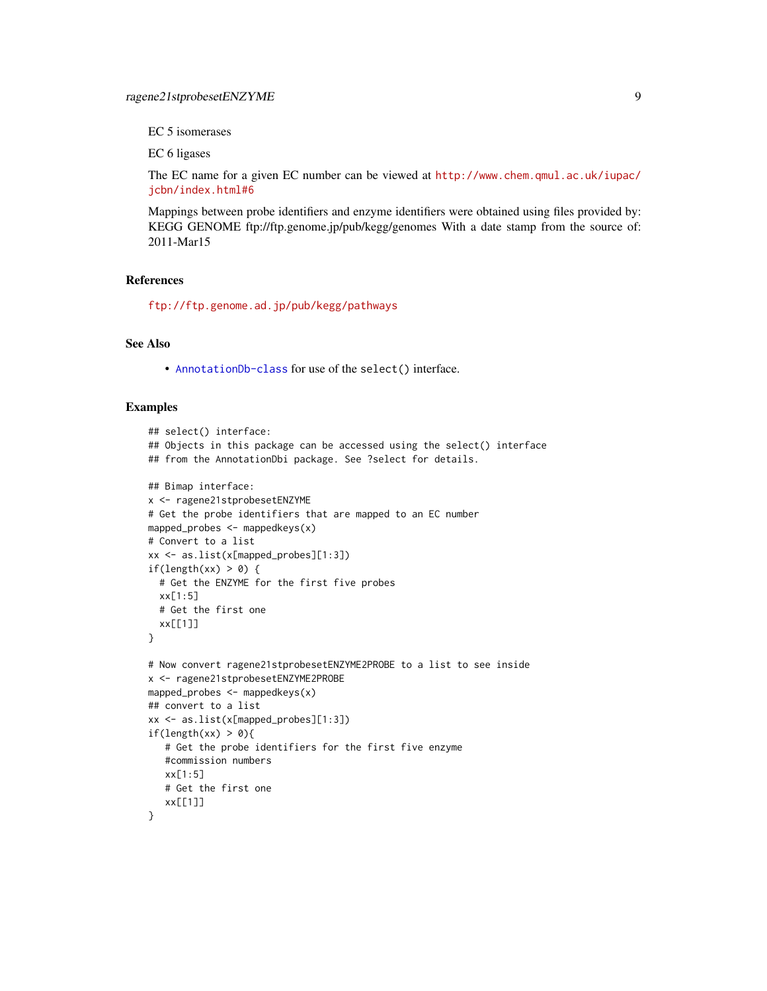EC 5 isomerases

EC 6 ligases

The EC name for a given EC number can be viewed at [http://www.chem.qmul.ac.uk/iupac/](http://www.chem.qmul.ac.uk/iupac/jcbn/index.html#6) [jcbn/index.html#6](http://www.chem.qmul.ac.uk/iupac/jcbn/index.html#6)

Mappings between probe identifiers and enzyme identifiers were obtained using files provided by: KEGG GENOME ftp://ftp.genome.jp/pub/kegg/genomes With a date stamp from the source of: 2011-Mar15

#### References

<ftp://ftp.genome.ad.jp/pub/kegg/pathways>

## See Also

• [AnnotationDb-class](#page-0-0) for use of the select() interface.

```
## select() interface:
## Objects in this package can be accessed using the select() interface
## from the AnnotationDbi package. See ?select for details.
## Bimap interface:
x <- ragene21stprobesetENZYME
# Get the probe identifiers that are mapped to an EC number
mapped_probes <- mappedkeys(x)
# Convert to a list
xx <- as.list(x[mapped_probes][1:3])
if(length(xx) > 0) {
  # Get the ENZYME for the first five probes
  xx[1:5]
  # Get the first one
  xx[[1]]
}
# Now convert ragene21stprobesetENZYME2PROBE to a list to see inside
x <- ragene21stprobesetENZYME2PROBE
mapped_probes <- mappedkeys(x)
## convert to a list
xx <- as.list(x[mapped_probes][1:3])
if(length(xx) > 0){
   # Get the probe identifiers for the first five enzyme
   #commission numbers
   xx[1:5]
   # Get the first one
   xx[[1]]
}
```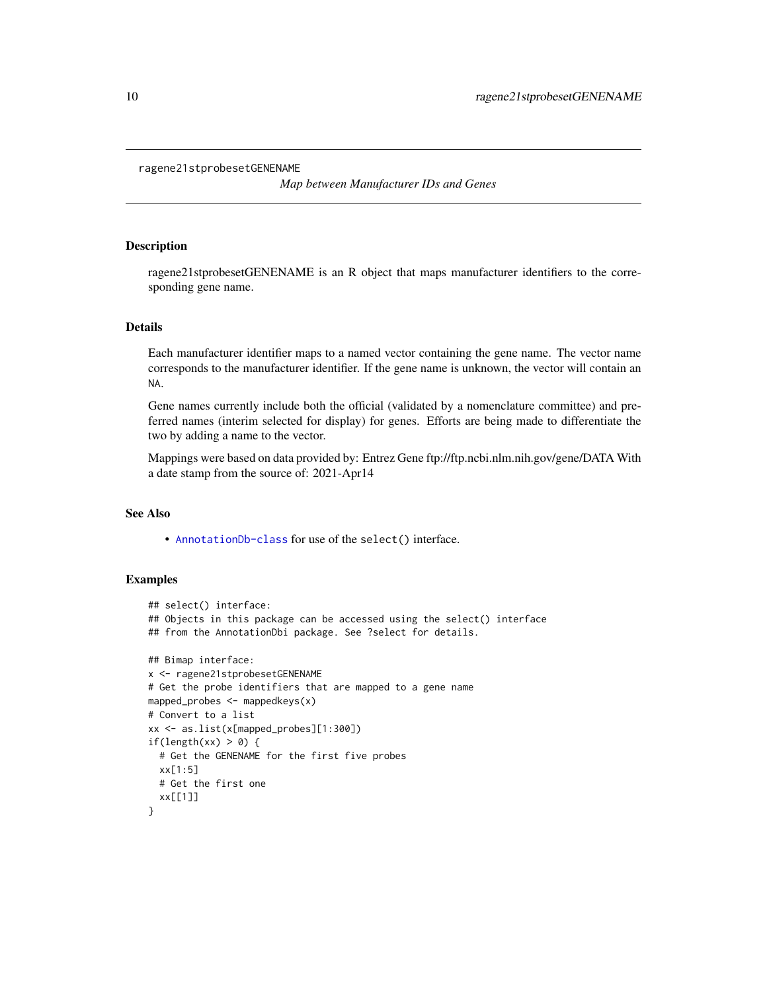```
ragene21stprobesetGENENAME
```
*Map between Manufacturer IDs and Genes*

## Description

ragene21stprobesetGENENAME is an R object that maps manufacturer identifiers to the corresponding gene name.

#### Details

Each manufacturer identifier maps to a named vector containing the gene name. The vector name corresponds to the manufacturer identifier. If the gene name is unknown, the vector will contain an NA.

Gene names currently include both the official (validated by a nomenclature committee) and preferred names (interim selected for display) for genes. Efforts are being made to differentiate the two by adding a name to the vector.

Mappings were based on data provided by: Entrez Gene ftp://ftp.ncbi.nlm.nih.gov/gene/DATA With a date stamp from the source of: 2021-Apr14

## See Also

• [AnnotationDb-class](#page-0-0) for use of the select() interface.

```
## select() interface:
## Objects in this package can be accessed using the select() interface
## from the AnnotationDbi package. See ?select for details.
## Bimap interface:
x <- ragene21stprobesetGENENAME
# Get the probe identifiers that are mapped to a gene name
mapped_probes <- mappedkeys(x)
# Convert to a list
xx <- as.list(x[mapped_probes][1:300])
if(length(xx) > 0) {
  # Get the GENENAME for the first five probes
  xx[1:5]
  # Get the first one
  xx[[1]]
}
```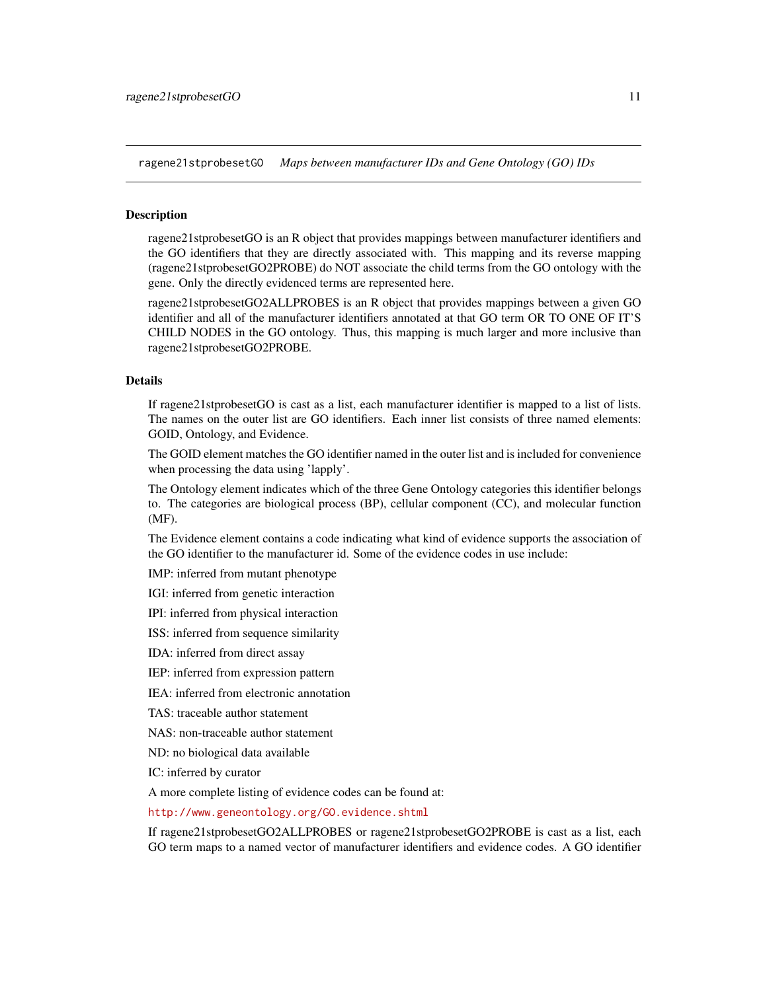<span id="page-10-1"></span>ragene21stprobesetGO *Maps between manufacturer IDs and Gene Ontology (GO) IDs*

#### <span id="page-10-0"></span>**Description**

ragene21stprobesetGO is an R object that provides mappings between manufacturer identifiers and the GO identifiers that they are directly associated with. This mapping and its reverse mapping (ragene21stprobesetGO2PROBE) do NOT associate the child terms from the GO ontology with the gene. Only the directly evidenced terms are represented here.

ragene21stprobesetGO2ALLPROBES is an R object that provides mappings between a given GO identifier and all of the manufacturer identifiers annotated at that GO term OR TO ONE OF IT'S CHILD NODES in the GO ontology. Thus, this mapping is much larger and more inclusive than ragene21stprobesetGO2PROBE.

## Details

If ragene21stprobesetGO is cast as a list, each manufacturer identifier is mapped to a list of lists. The names on the outer list are GO identifiers. Each inner list consists of three named elements: GOID, Ontology, and Evidence.

The GOID element matches the GO identifier named in the outer list and is included for convenience when processing the data using 'lapply'.

The Ontology element indicates which of the three Gene Ontology categories this identifier belongs to. The categories are biological process (BP), cellular component (CC), and molecular function (MF).

The Evidence element contains a code indicating what kind of evidence supports the association of the GO identifier to the manufacturer id. Some of the evidence codes in use include:

IMP: inferred from mutant phenotype

IGI: inferred from genetic interaction

IPI: inferred from physical interaction

ISS: inferred from sequence similarity

IDA: inferred from direct assay

IEP: inferred from expression pattern

IEA: inferred from electronic annotation

TAS: traceable author statement

NAS: non-traceable author statement

ND: no biological data available

IC: inferred by curator

A more complete listing of evidence codes can be found at:

<http://www.geneontology.org/GO.evidence.shtml>

If ragene21stprobesetGO2ALLPROBES or ragene21stprobesetGO2PROBE is cast as a list, each GO term maps to a named vector of manufacturer identifiers and evidence codes. A GO identifier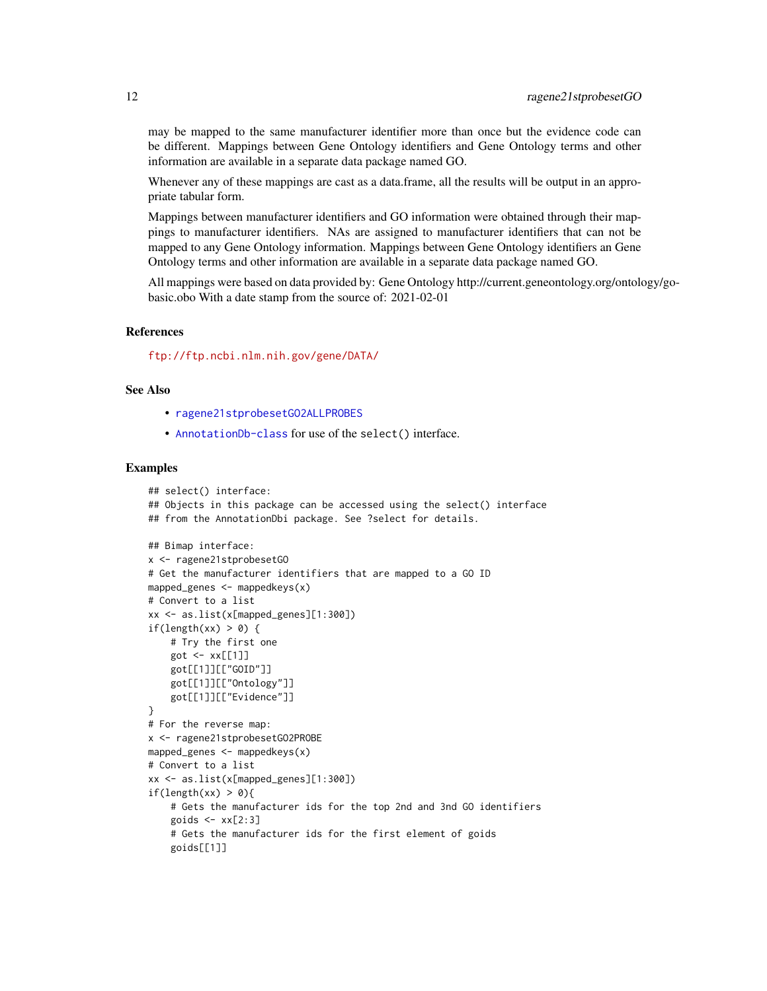<span id="page-11-0"></span>may be mapped to the same manufacturer identifier more than once but the evidence code can be different. Mappings between Gene Ontology identifiers and Gene Ontology terms and other information are available in a separate data package named GO.

Whenever any of these mappings are cast as a data.frame, all the results will be output in an appropriate tabular form.

Mappings between manufacturer identifiers and GO information were obtained through their mappings to manufacturer identifiers. NAs are assigned to manufacturer identifiers that can not be mapped to any Gene Ontology information. Mappings between Gene Ontology identifiers an Gene Ontology terms and other information are available in a separate data package named GO.

All mappings were based on data provided by: Gene Ontology http://current.geneontology.org/ontology/gobasic.obo With a date stamp from the source of: 2021-02-01

## References

<ftp://ftp.ncbi.nlm.nih.gov/gene/DATA/>

#### See Also

- [ragene21stprobesetGO2ALLPROBES](#page-10-0)
- [AnnotationDb-class](#page-0-0) for use of the select() interface.

```
## select() interface:
## Objects in this package can be accessed using the select() interface
## from the AnnotationDbi package. See ?select for details.
## Bimap interface:
x <- ragene21stprobesetGO
# Get the manufacturer identifiers that are mapped to a GO ID
mapped_genes \leq mappedkeys(x)
# Convert to a list
xx <- as.list(x[mapped_genes][1:300])
if(length(xx) > 0) {
    # Try the first one
    got \leftarrow xx[[1]]got[[1]][["GOID"]]
    got[[1]][["Ontology"]]
    got[[1]][["Evidence"]]
}
# For the reverse map:
x <- ragene21stprobesetGO2PROBE
mapped_genes \leq mappedkeys(x)
# Convert to a list
xx <- as.list(x[mapped_genes][1:300])
if(length(xx) > 0){
    # Gets the manufacturer ids for the top 2nd and 3nd GO identifiers
    goids \leq -x \times [2:3]# Gets the manufacturer ids for the first element of goids
    goids[[1]]
```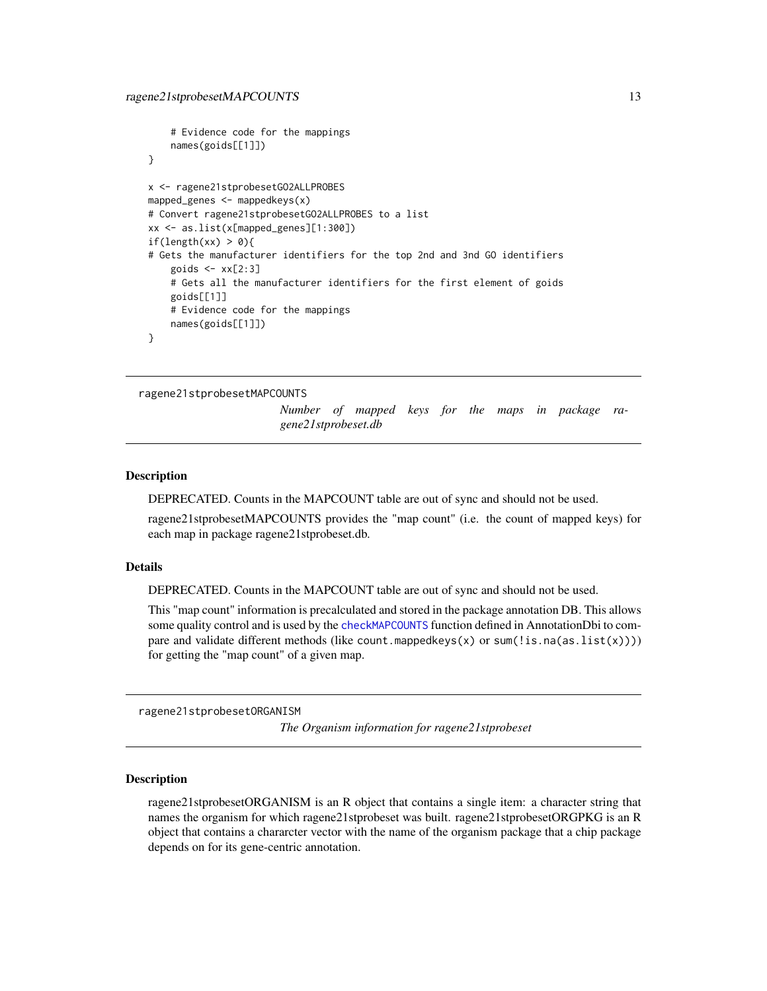```
# Evidence code for the mappings
    names(goids[[1]])
}
x <- ragene21stprobesetGO2ALLPROBES
mapped_genes <- mappedkeys(x)
# Convert ragene21stprobesetGO2ALLPROBES to a list
xx <- as.list(x[mapped_genes][1:300])
if(length(xx) > 0){
# Gets the manufacturer identifiers for the top 2nd and 3nd GO identifiers
    goids \leq xx[2:3]# Gets all the manufacturer identifiers for the first element of goids
    goids[[1]]
   # Evidence code for the mappings
   names(goids[[1]])
}
```
ragene21stprobesetMAPCOUNTS

*Number of mapped keys for the maps in package ragene21stprobeset.db*

## Description

DEPRECATED. Counts in the MAPCOUNT table are out of sync and should not be used.

ragene21stprobesetMAPCOUNTS provides the "map count" (i.e. the count of mapped keys) for each map in package ragene21stprobeset.db.

#### Details

DEPRECATED. Counts in the MAPCOUNT table are out of sync and should not be used.

This "map count" information is precalculated and stored in the package annotation DB. This allows some quality control and is used by the [checkMAPCOUNTS](#page-0-0) function defined in AnnotationDbi to compare and validate different methods (like count.mappedkeys(x) or sum(!is.na(as.list(x)))) for getting the "map count" of a given map.

ragene21stprobesetORGANISM

*The Organism information for ragene21stprobeset*

#### Description

ragene21stprobesetORGANISM is an R object that contains a single item: a character string that names the organism for which ragene21stprobeset was built. ragene21stprobesetORGPKG is an R object that contains a chararcter vector with the name of the organism package that a chip package depends on for its gene-centric annotation.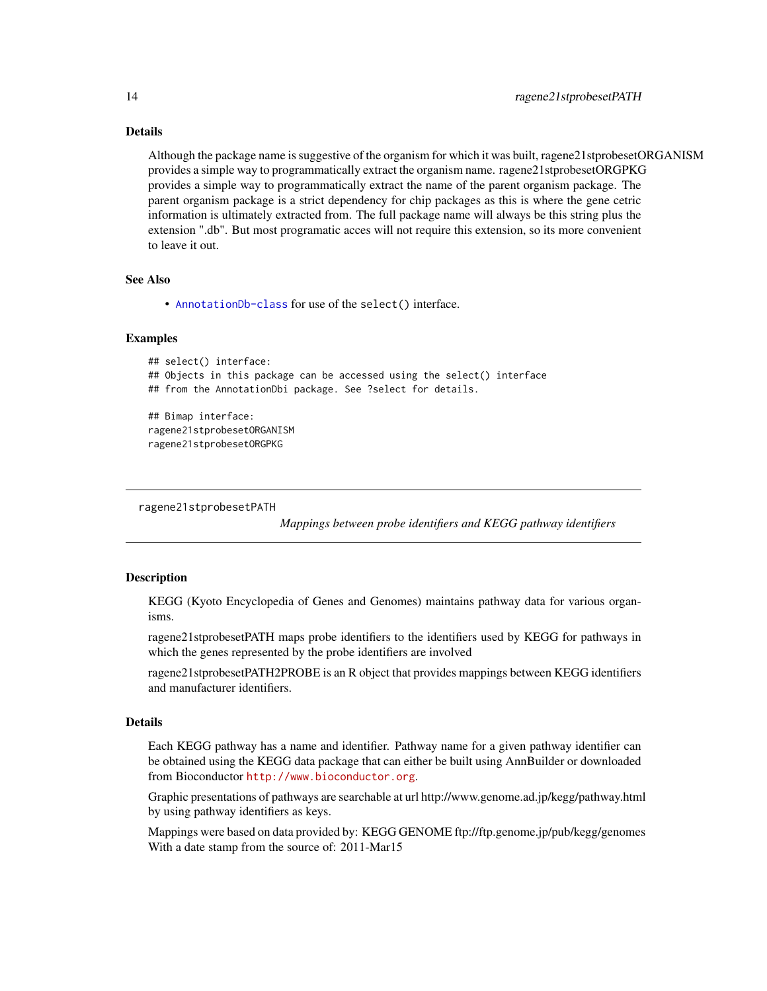## Details

Although the package name is suggestive of the organism for which it was built, ragene21stprobesetORGANISM provides a simple way to programmatically extract the organism name. ragene21stprobesetORGPKG provides a simple way to programmatically extract the name of the parent organism package. The parent organism package is a strict dependency for chip packages as this is where the gene cetric information is ultimately extracted from. The full package name will always be this string plus the extension ".db". But most programatic acces will not require this extension, so its more convenient to leave it out.

#### See Also

• [AnnotationDb-class](#page-0-0) for use of the select() interface.

## Examples

```
## select() interface:
## Objects in this package can be accessed using the select() interface
## from the AnnotationDbi package. See ?select for details.
## Bimap interface:
ragene21stprobesetORGANISM
ragene21stprobesetORGPKG
```
ragene21stprobesetPATH

*Mappings between probe identifiers and KEGG pathway identifiers*

## Description

KEGG (Kyoto Encyclopedia of Genes and Genomes) maintains pathway data for various organisms.

ragene21stprobesetPATH maps probe identifiers to the identifiers used by KEGG for pathways in which the genes represented by the probe identifiers are involved

ragene21stprobesetPATH2PROBE is an R object that provides mappings between KEGG identifiers and manufacturer identifiers.

## Details

Each KEGG pathway has a name and identifier. Pathway name for a given pathway identifier can be obtained using the KEGG data package that can either be built using AnnBuilder or downloaded from Bioconductor <http://www.bioconductor.org>.

Graphic presentations of pathways are searchable at url http://www.genome.ad.jp/kegg/pathway.html by using pathway identifiers as keys.

Mappings were based on data provided by: KEGG GENOME ftp://ftp.genome.jp/pub/kegg/genomes With a date stamp from the source of: 2011-Mar15

<span id="page-13-0"></span>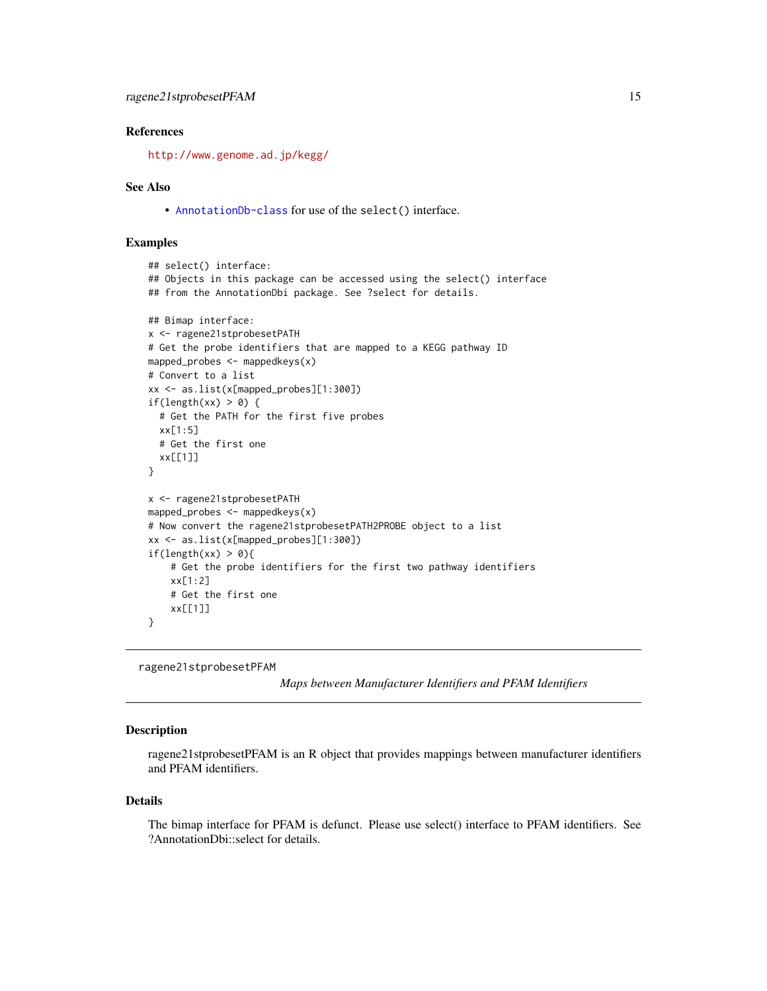#### <span id="page-14-0"></span>References

<http://www.genome.ad.jp/kegg/>

#### See Also

• [AnnotationDb-class](#page-0-0) for use of the select() interface.

#### Examples

```
## select() interface:
## Objects in this package can be accessed using the select() interface
## from the AnnotationDbi package. See ?select for details.
## Bimap interface:
x <- ragene21stprobesetPATH
# Get the probe identifiers that are mapped to a KEGG pathway ID
mapped_probes <- mappedkeys(x)
# Convert to a list
xx <- as.list(x[mapped_probes][1:300])
if(length(xx) > 0) {
  # Get the PATH for the first five probes
  xx[1:5]
  # Get the first one
  xx[[1]]
}
x <- ragene21stprobesetPATH
mapped_probes <- mappedkeys(x)
# Now convert the ragene21stprobesetPATH2PROBE object to a list
xx <- as.list(x[mapped_probes][1:300])
if(length(xx) > 0){
    # Get the probe identifiers for the first two pathway identifiers
    xx[1:2]
    # Get the first one
    xx[[1]]
}
```
ragene21stprobesetPFAM

*Maps between Manufacturer Identifiers and PFAM Identifiers*

#### Description

ragene21stprobesetPFAM is an R object that provides mappings between manufacturer identifiers and PFAM identifiers.

#### Details

The bimap interface for PFAM is defunct. Please use select() interface to PFAM identifiers. See ?AnnotationDbi::select for details.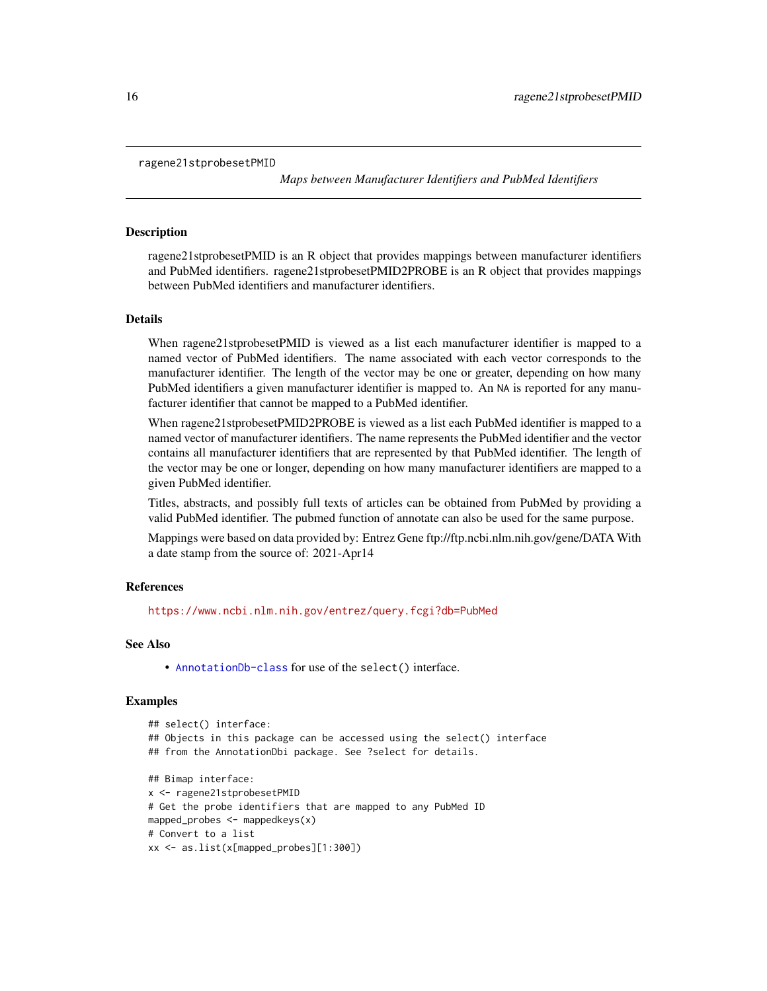```
ragene21stprobesetPMID
```
*Maps between Manufacturer Identifiers and PubMed Identifiers*

#### **Description**

ragene21stprobesetPMID is an R object that provides mappings between manufacturer identifiers and PubMed identifiers. ragene21stprobesetPMID2PROBE is an R object that provides mappings between PubMed identifiers and manufacturer identifiers.

#### Details

When ragene21stprobesetPMID is viewed as a list each manufacturer identifier is mapped to a named vector of PubMed identifiers. The name associated with each vector corresponds to the manufacturer identifier. The length of the vector may be one or greater, depending on how many PubMed identifiers a given manufacturer identifier is mapped to. An NA is reported for any manufacturer identifier that cannot be mapped to a PubMed identifier.

When ragene21stprobesetPMID2PROBE is viewed as a list each PubMed identifier is mapped to a named vector of manufacturer identifiers. The name represents the PubMed identifier and the vector contains all manufacturer identifiers that are represented by that PubMed identifier. The length of the vector may be one or longer, depending on how many manufacturer identifiers are mapped to a given PubMed identifier.

Titles, abstracts, and possibly full texts of articles can be obtained from PubMed by providing a valid PubMed identifier. The pubmed function of annotate can also be used for the same purpose.

Mappings were based on data provided by: Entrez Gene ftp://ftp.ncbi.nlm.nih.gov/gene/DATA With a date stamp from the source of: 2021-Apr14

#### References

<https://www.ncbi.nlm.nih.gov/entrez/query.fcgi?db=PubMed>

#### See Also

• [AnnotationDb-class](#page-0-0) for use of the select() interface.

```
## select() interface:
## Objects in this package can be accessed using the select() interface
## from the AnnotationDbi package. See ?select for details.
## Bimap interface:
x <- ragene21stprobesetPMID
# Get the probe identifiers that are mapped to any PubMed ID
mapped_probes <- mappedkeys(x)
# Convert to a list
xx <- as.list(x[mapped_probes][1:300])
```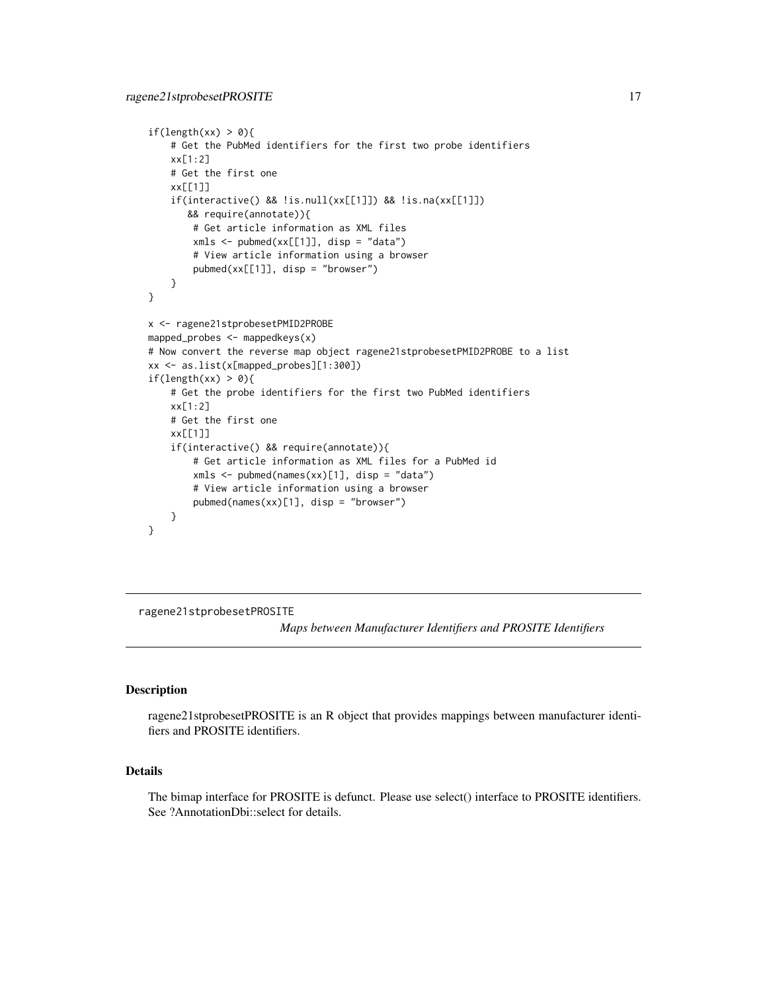```
if(length(xx) > 0){
    # Get the PubMed identifiers for the first two probe identifiers
   xx[1:2]
    # Get the first one
   xx[[1]]
    if(interactive() && !is.null(xx[[1]]) && !is.na(xx[[1]])
      && require(annotate)){
       # Get article information as XML files
       xmls < -pubmed(xx[[1]], disp = "data")# View article information using a browser
       pubmed(xx[[1]], disp = "browser")
    }
}
x <- ragene21stprobesetPMID2PROBE
mapped_probes <- mappedkeys(x)
# Now convert the reverse map object ragene21stprobesetPMID2PROBE to a list
xx <- as.list(x[mapped_probes][1:300])
if(length(xx) > 0){
    # Get the probe identifiers for the first two PubMed identifiers
   xx[1:2]
    # Get the first one
   xx[[1]]
    if(interactive() && require(annotate)){
       # Get article information as XML files for a PubMed id
       xmls <- pubmed(names(xx)[1], disp = "data")
       # View article information using a browser
       pubmed(names(xx)[1], disp = "browser")
   }
}
```
ragene21stprobesetPROSITE

*Maps between Manufacturer Identifiers and PROSITE Identifiers*

#### Description

ragene21stprobesetPROSITE is an R object that provides mappings between manufacturer identifiers and PROSITE identifiers.

#### Details

The bimap interface for PROSITE is defunct. Please use select() interface to PROSITE identifiers. See ?AnnotationDbi::select for details.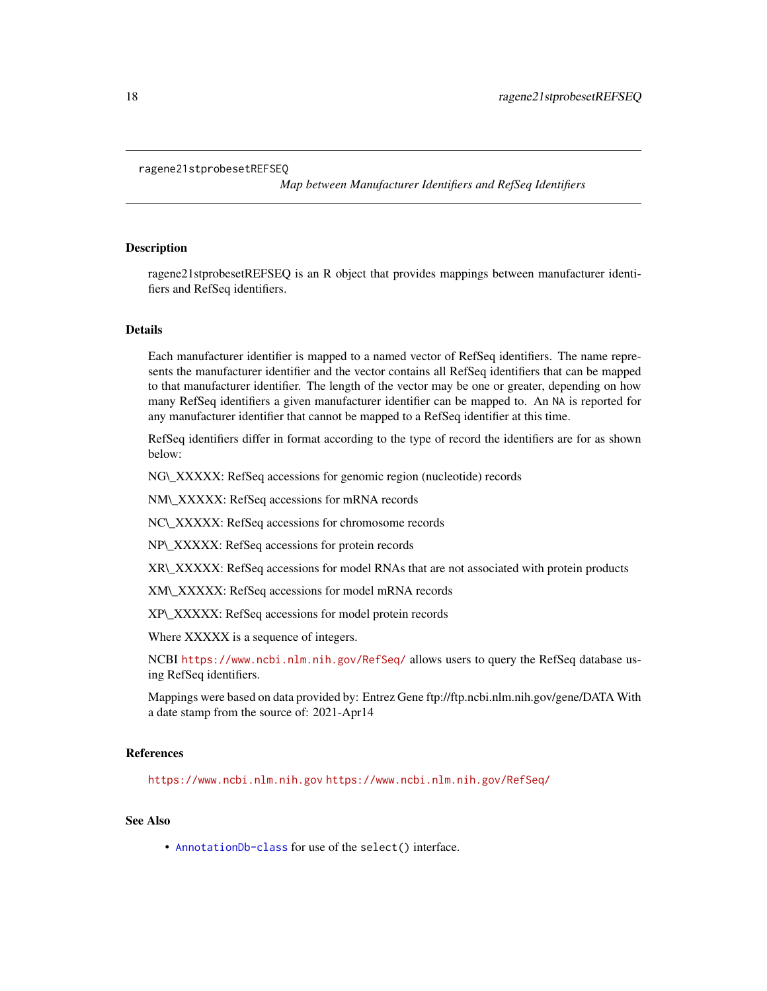#### <span id="page-17-0"></span>ragene21stprobesetREFSEQ

*Map between Manufacturer Identifiers and RefSeq Identifiers*

## Description

ragene21stprobesetREFSEQ is an R object that provides mappings between manufacturer identifiers and RefSeq identifiers.

#### Details

Each manufacturer identifier is mapped to a named vector of RefSeq identifiers. The name represents the manufacturer identifier and the vector contains all RefSeq identifiers that can be mapped to that manufacturer identifier. The length of the vector may be one or greater, depending on how many RefSeq identifiers a given manufacturer identifier can be mapped to. An NA is reported for any manufacturer identifier that cannot be mapped to a RefSeq identifier at this time.

RefSeq identifiers differ in format according to the type of record the identifiers are for as shown below:

NG\\_XXXXX: RefSeq accessions for genomic region (nucleotide) records

NM\\_XXXXX: RefSeq accessions for mRNA records

NC\\_XXXXX: RefSeq accessions for chromosome records

NP\\_XXXXX: RefSeq accessions for protein records

XR\\_XXXXX: RefSeq accessions for model RNAs that are not associated with protein products

XM\\_XXXXX: RefSeq accessions for model mRNA records

XP\\_XXXXX: RefSeq accessions for model protein records

Where XXXXX is a sequence of integers.

NCBI <https://www.ncbi.nlm.nih.gov/RefSeq/> allows users to query the RefSeq database using RefSeq identifiers.

Mappings were based on data provided by: Entrez Gene ftp://ftp.ncbi.nlm.nih.gov/gene/DATA With a date stamp from the source of: 2021-Apr14

#### References

<https://www.ncbi.nlm.nih.gov> <https://www.ncbi.nlm.nih.gov/RefSeq/>

## See Also

• [AnnotationDb-class](#page-0-0) for use of the select() interface.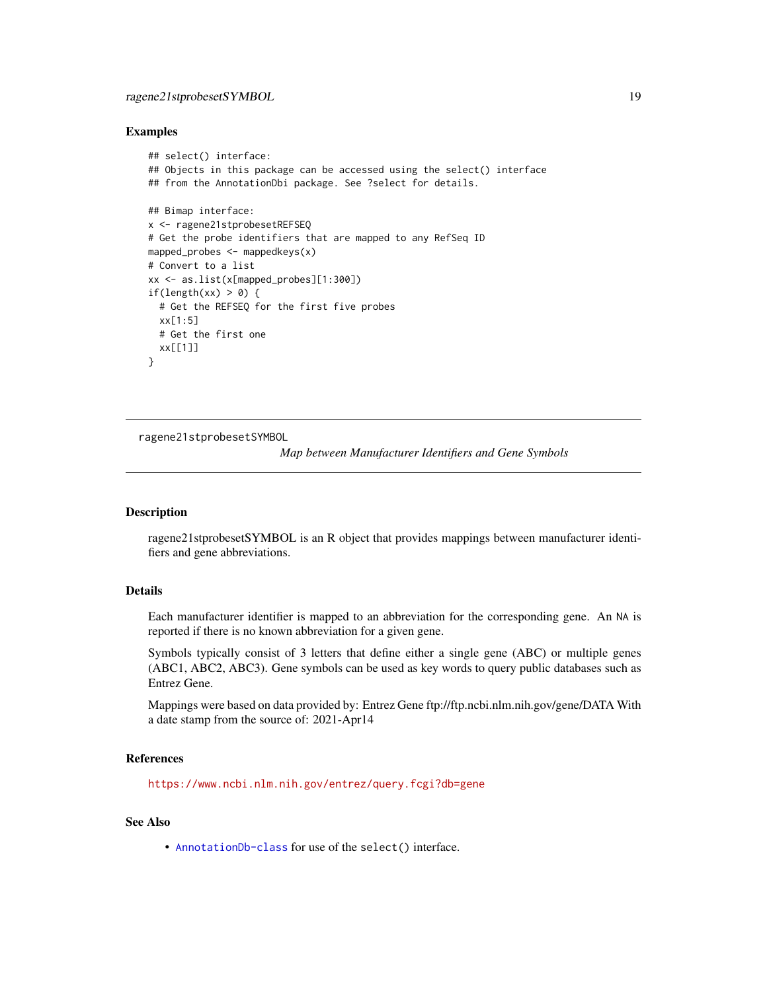## <span id="page-18-0"></span>ragene21stprobesetSYMBOL 19

#### Examples

```
## select() interface:
## Objects in this package can be accessed using the select() interface
## from the AnnotationDbi package. See ?select for details.
## Bimap interface:
x <- ragene21stprobesetREFSEQ
# Get the probe identifiers that are mapped to any RefSeq ID
mapped_probes <- mappedkeys(x)
# Convert to a list
xx <- as.list(x[mapped_probes][1:300])
if(length(xx) > 0) {
  # Get the REFSEQ for the first five probes
  xx[1:5]
  # Get the first one
  xx[[1]]
}
```
ragene21stprobesetSYMBOL

*Map between Manufacturer Identifiers and Gene Symbols*

#### Description

ragene21stprobesetSYMBOL is an R object that provides mappings between manufacturer identifiers and gene abbreviations.

## Details

Each manufacturer identifier is mapped to an abbreviation for the corresponding gene. An NA is reported if there is no known abbreviation for a given gene.

Symbols typically consist of 3 letters that define either a single gene (ABC) or multiple genes (ABC1, ABC2, ABC3). Gene symbols can be used as key words to query public databases such as Entrez Gene.

Mappings were based on data provided by: Entrez Gene ftp://ftp.ncbi.nlm.nih.gov/gene/DATA With a date stamp from the source of: 2021-Apr14

## References

<https://www.ncbi.nlm.nih.gov/entrez/query.fcgi?db=gene>

#### See Also

• [AnnotationDb-class](#page-0-0) for use of the select() interface.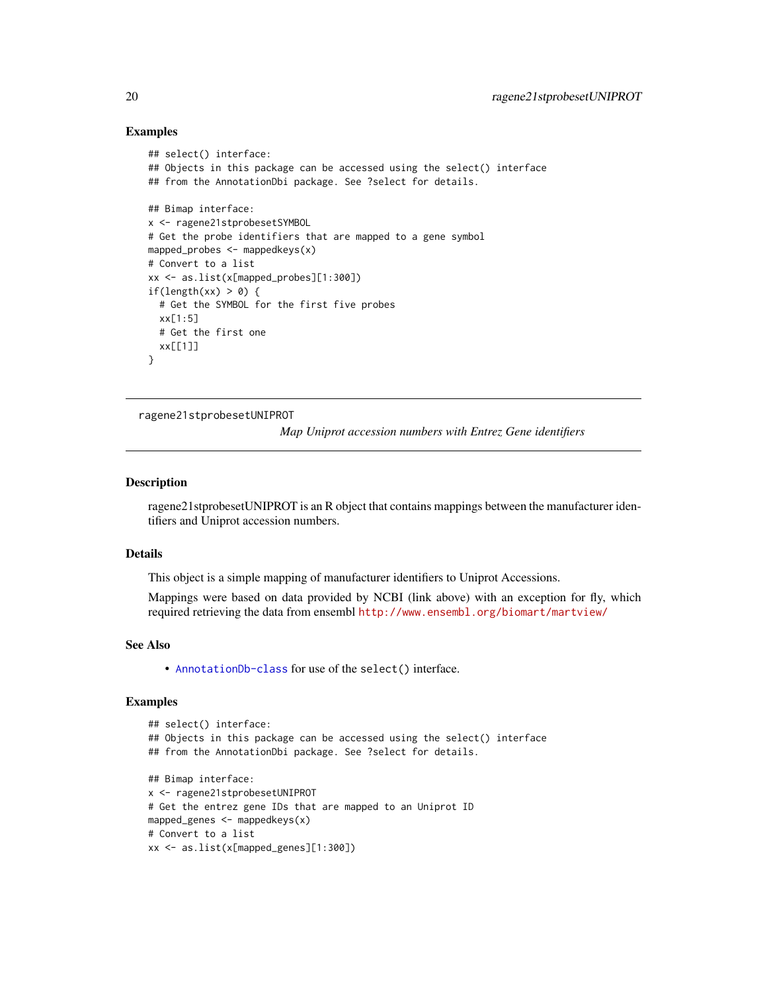#### Examples

```
## select() interface:
## Objects in this package can be accessed using the select() interface
## from the AnnotationDbi package. See ?select for details.
## Bimap interface:
x <- ragene21stprobesetSYMBOL
# Get the probe identifiers that are mapped to a gene symbol
mapped_probes <- mappedkeys(x)
# Convert to a list
xx <- as.list(x[mapped_probes][1:300])
if(length(xx) > 0) {
  # Get the SYMBOL for the first five probes
  xx[1:5]
  # Get the first one
  xx[[1]]
}
```
ragene21stprobesetUNIPROT

*Map Uniprot accession numbers with Entrez Gene identifiers*

## **Description**

ragene21stprobesetUNIPROT is an R object that contains mappings between the manufacturer identifiers and Uniprot accession numbers.

#### Details

This object is a simple mapping of manufacturer identifiers to Uniprot Accessions.

Mappings were based on data provided by NCBI (link above) with an exception for fly, which required retrieving the data from ensembl <http://www.ensembl.org/biomart/martview/>

#### See Also

• [AnnotationDb-class](#page-0-0) for use of the select() interface.

```
## select() interface:
## Objects in this package can be accessed using the select() interface
## from the AnnotationDbi package. See ?select for details.
## Bimap interface:
x <- ragene21stprobesetUNIPROT
# Get the entrez gene IDs that are mapped to an Uniprot ID
mapped_genes <- mappedkeys(x)
# Convert to a list
xx <- as.list(x[mapped_genes][1:300])
```
<span id="page-19-0"></span>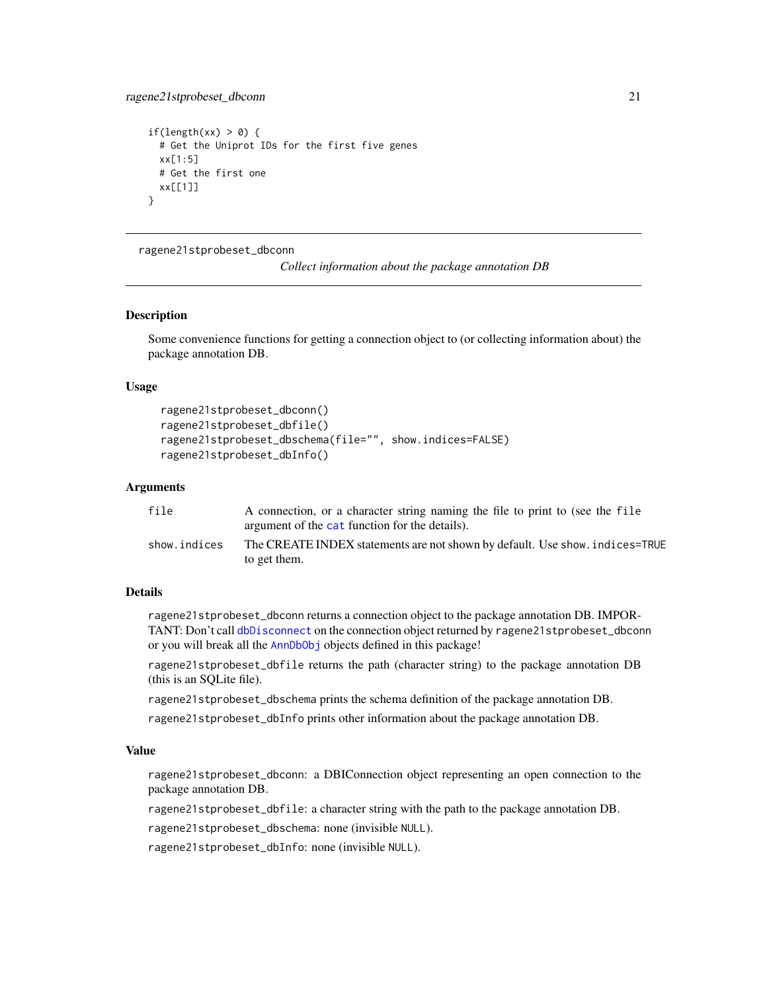```
if(length(xx) > 0) {
 # Get the Uniprot IDs for the first five genes
 xx[1:5]
 # Get the first one
 xx[[1]]
}
```
ragene21stprobeset\_dbconn

*Collect information about the package annotation DB*

#### Description

Some convenience functions for getting a connection object to (or collecting information about) the package annotation DB.

## Usage

```
ragene21stprobeset_dbconn()
ragene21stprobeset_dbfile()
ragene21stprobeset_dbschema(file="", show.indices=FALSE)
ragene21stprobeset_dbInfo()
```
## Arguments

| file         | A connection, or a character string naming the file to print to (see the file |
|--------------|-------------------------------------------------------------------------------|
|              | argument of the cat function for the details).                                |
| show.indices | The CREATE INDEX statements are not shown by default. Use show, indices=TRUE  |
|              | to get them.                                                                  |

## Details

ragene21stprobeset\_dbconn returns a connection object to the package annotation DB. IMPOR-TANT: Don't call [dbDisconnect](#page-0-0) on the connection object returned by ragene21stprobeset\_dbconn or you will break all the [AnnDbObj](#page-0-0) objects defined in this package!

ragene21stprobeset\_dbfile returns the path (character string) to the package annotation DB (this is an SQLite file).

ragene21stprobeset\_dbschema prints the schema definition of the package annotation DB.

ragene21stprobeset\_dbInfo prints other information about the package annotation DB.

## Value

ragene21stprobeset\_dbconn: a DBIConnection object representing an open connection to the package annotation DB.

ragene21stprobeset\_dbfile: a character string with the path to the package annotation DB.

ragene21stprobeset\_dbschema: none (invisible NULL).

ragene21stprobeset\_dbInfo: none (invisible NULL).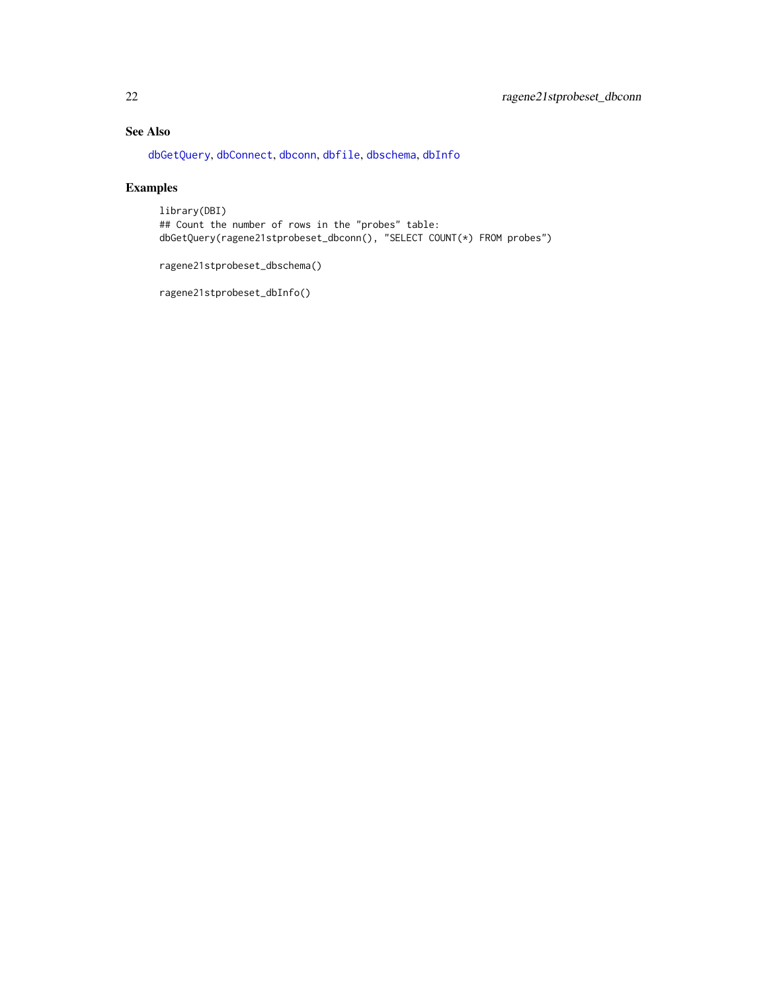## <span id="page-21-0"></span>See Also

[dbGetQuery](#page-0-0), [dbConnect](#page-0-0), [dbconn](#page-0-0), [dbfile](#page-0-0), [dbschema](#page-0-0), [dbInfo](#page-0-0)

## Examples

library(DBI) ## Count the number of rows in the "probes" table: dbGetQuery(ragene21stprobeset\_dbconn(), "SELECT COUNT(\*) FROM probes")

ragene21stprobeset\_dbschema()

ragene21stprobeset\_dbInfo()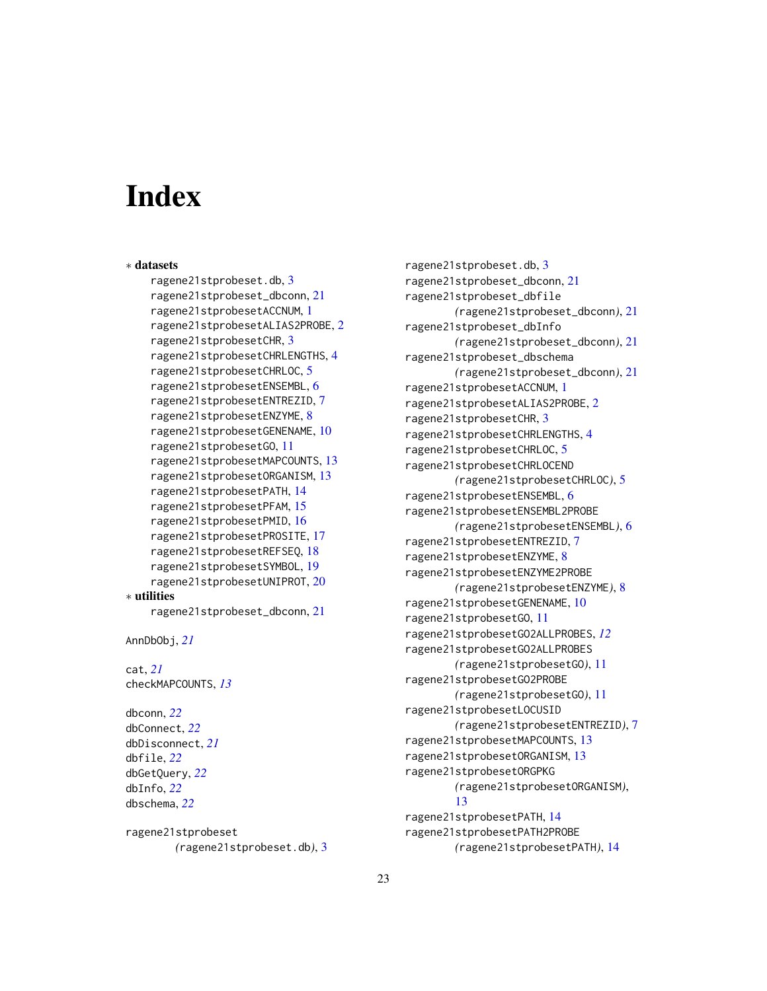# **Index**

```
∗ datasets
    ragene21stprobeset.db, 3
    ragene21stprobeset_dbconn, 21
    ragene21stprobesetACCNUM, 1
    ragene21stprobesetALIAS2PROBE, 2
    ragene21stprobesetCHR, 3
    ragene21stprobesetCHRLENGTHS, 4
    ragene21stprobesetCHRLOC, 5
    ragene21stprobesetENSEMBL, 6
    ragene21stprobesetENTREZID, 7
    ragene21stprobesetENZYME, 8
    ragene21stprobesetGENENAME, 10
    ragene21stprobesetGO, 11
    ragene21stprobesetMAPCOUNTS, 13
    ragene21stprobesetORGANISM, 13
    ragene21stprobesetPATH, 14
    ragene21stprobesetPFAM, 15
    ragene21stprobesetPMID, 16
    ragene21stprobesetPROSITE, 17
    ragene21stprobesetREFSEQ, 18
    ragene21stprobesetSYMBOL, 19
    ragene21stprobesetUNIPROT, 20
∗ utilities
    ragene21stprobeset_dbconn, 21
```

```
AnnDbObj, 21
```

```
cat, 21
checkMAPCOUNTS, 13
```
dbconn, *[22](#page-21-0)* dbConnect, *[22](#page-21-0)* dbDisconnect, *[21](#page-20-0)* dbfile, *[22](#page-21-0)* dbGetQuery, *[22](#page-21-0)* dbInfo, *[22](#page-21-0)* dbschema, *[22](#page-21-0)*

ragene21stprobeset *(*ragene21stprobeset.db*)*, [3](#page-2-0)

ragene21stprobeset.db, [3](#page-2-0) ragene21stprobeset\_dbconn, [21](#page-20-0) ragene21stprobeset\_dbfile *(*ragene21stprobeset\_dbconn*)*, [21](#page-20-0) ragene21stprobeset\_dbInfo *(*ragene21stprobeset\_dbconn*)*, [21](#page-20-0) ragene21stprobeset\_dbschema *(*ragene21stprobeset\_dbconn*)*, [21](#page-20-0) ragene21stprobesetACCNUM, [1](#page-0-1) ragene21stprobesetALIAS2PROBE, [2](#page-1-0) ragene21stprobesetCHR, [3](#page-2-0) ragene21stprobesetCHRLENGTHS, [4](#page-3-0) ragene21stprobesetCHRLOC, [5](#page-4-0) ragene21stprobesetCHRLOCEND *(*ragene21stprobesetCHRLOC*)*, [5](#page-4-0) ragene21stprobesetENSEMBL, [6](#page-5-0) ragene21stprobesetENSEMBL2PROBE *(*ragene21stprobesetENSEMBL*)*, [6](#page-5-0) ragene21stprobesetENTREZID, [7](#page-6-0) ragene21stprobesetENZYME, [8](#page-7-0) ragene21stprobesetENZYME2PROBE *(*ragene21stprobesetENZYME*)*, [8](#page-7-0) ragene21stprobesetGENENAME, [10](#page-9-0) ragene21stprobesetGO, [11](#page-10-1) ragene21stprobesetGO2ALLPROBES, *[12](#page-11-0)* ragene21stprobesetGO2ALLPROBES *(*ragene21stprobesetGO*)*, [11](#page-10-1) ragene21stprobesetGO2PROBE *(*ragene21stprobesetGO*)*, [11](#page-10-1) ragene21stprobesetLOCUSID *(*ragene21stprobesetENTREZID*)*, [7](#page-6-0) ragene21stprobesetMAPCOUNTS, [13](#page-12-0) ragene21stprobesetORGANISM, [13](#page-12-0) ragene21stprobesetORGPKG *(*ragene21stprobesetORGANISM*)*, [13](#page-12-0) ragene21stprobesetPATH, [14](#page-13-0) ragene21stprobesetPATH2PROBE *(*ragene21stprobesetPATH*)*, [14](#page-13-0)